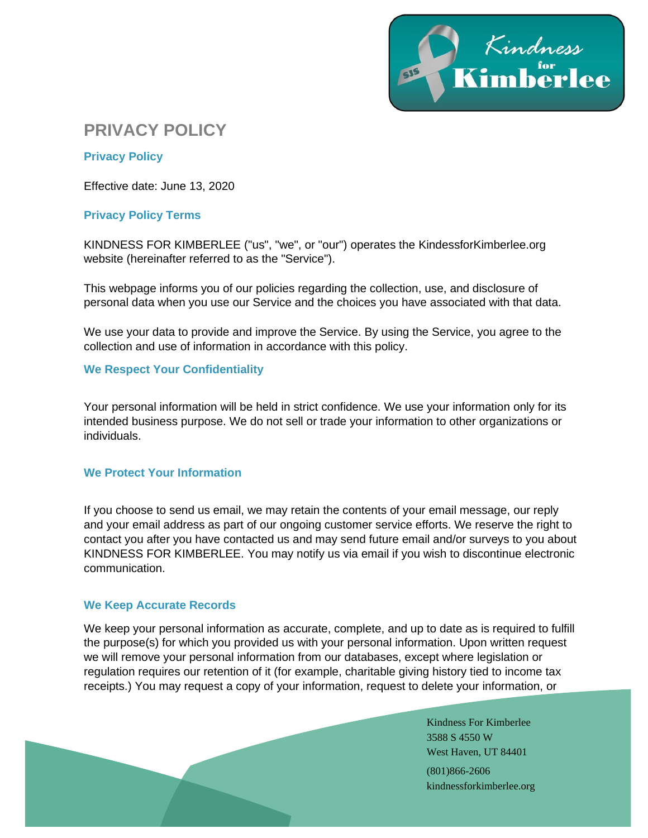

# **PRIVACY POLICY**

# **Privacy Policy**

Effective date: June 13, 2020

# **Privacy Policy Terms**

KINDNESS FOR KIMBERLEE ("us", "we", or "our") operates the KindessforKimberlee.org website (hereinafter referred to as the "Service").

This webpage informs you of our policies regarding the collection, use, and disclosure of personal data when you use our Service and the choices you have associated with that data.

We use your data to provide and improve the Service. By using the Service, you agree to the collection and use of information in accordance with this policy.

## **We Respect Your Confidentiality**

Your personal information will be held in strict confidence. We use your information only for its intended business purpose. We do not sell or trade your information to other organizations or individuals.

#### **We Protect Your Information**

If you choose to send us email, we may retain the contents of your email message, our reply and your email address as part of our ongoing customer service efforts. We reserve the right to contact you after you have contacted us and may send future email and/or surveys to you about KINDNESS FOR KIMBERLEE. You may notify us via email if you wish to discontinue electronic communication.

# **We Keep Accurate Records**

We keep your personal information as accurate, complete, and up to date as is required to fulfill the purpose(s) for which you provided us with your personal information. Upon written request we will remove your personal information from our databases, except where legislation or regulation requires our retention of it (for example, charitable giving history tied to income tax receipts.) You may request a copy of your information, request to delete your information, or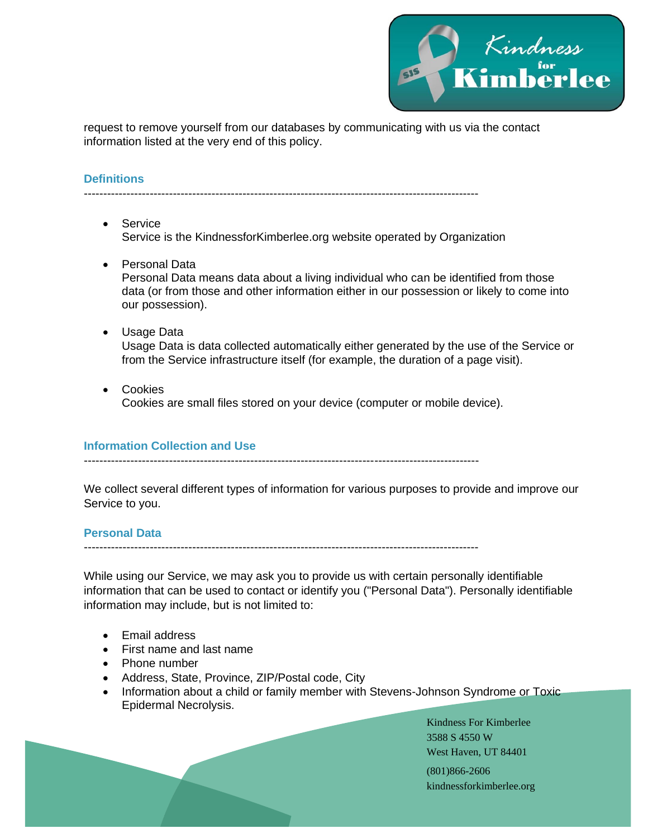

request to remove yourself from our databases by communicating with us via the contact information listed at the very end of this policy.

# **Definitions**

------------------------------------------------------------------------------------------------------

- Service Service is the KindnessforKimberlee.org website operated by Organization
- Personal Data Personal Data means data about a living individual who can be identified from those data (or from those and other information either in our possession or likely to come into our possession).
- Usage Data Usage Data is data collected automatically either generated by the use of the Service or from the Service infrastructure itself (for example, the duration of a page visit).
- Cookies Cookies are small files stored on your device (computer or mobile device).

#### **Information Collection and Use**

We collect several different types of information for various purposes to provide and improve our Service to you.

#### **Personal Data**

------------------------------------------------------------------------------------------------------

While using our Service, we may ask you to provide us with certain personally identifiable information that can be used to contact or identify you ("Personal Data"). Personally identifiable information may include, but is not limited to:

- Email address
- First name and last name
- Phone number
- Address, State, Province, ZIP/Postal code, City
- Information about a child or family member with Stevens-Johnson Syndrome or Toxic Epidermal Necrolysis.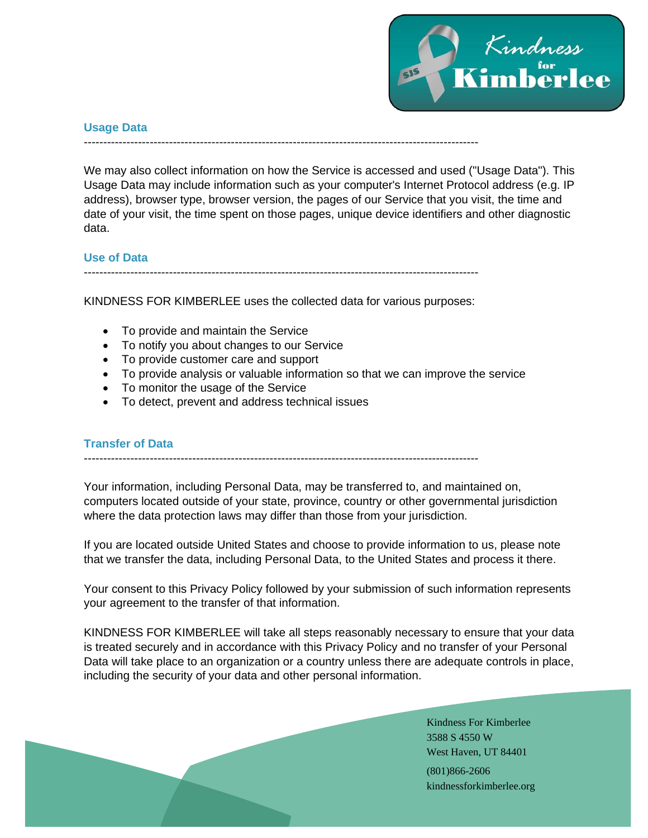

#### **Usage Data**

#### ------------------------------------------------------------------------------------------------------

We may also collect information on how the Service is accessed and used ("Usage Data"). This Usage Data may include information such as your computer's Internet Protocol address (e.g. IP address), browser type, browser version, the pages of our Service that you visit, the time and date of your visit, the time spent on those pages, unique device identifiers and other diagnostic data.

# **Use of Data**

------------------------------------------------------------------------------------------------------

KINDNESS FOR KIMBERLEE uses the collected data for various purposes:

- To provide and maintain the Service
- To notify you about changes to our Service
- To provide customer care and support
- To provide analysis or valuable information so that we can improve the service
- To monitor the usage of the Service
- To detect, prevent and address technical issues

# **Transfer of Data**

------------------------------------------------------------------------------------------------------

Your information, including Personal Data, may be transferred to, and maintained on, computers located outside of your state, province, country or other governmental jurisdiction where the data protection laws may differ than those from your jurisdiction.

If you are located outside United States and choose to provide information to us, please note that we transfer the data, including Personal Data, to the United States and process it there.

Your consent to this Privacy Policy followed by your submission of such information represents your agreement to the transfer of that information.

KINDNESS FOR KIMBERLEE will take all steps reasonably necessary to ensure that your data is treated securely and in accordance with this Privacy Policy and no transfer of your Personal Data will take place to an organization or a country unless there are adequate controls in place, including the security of your data and other personal information.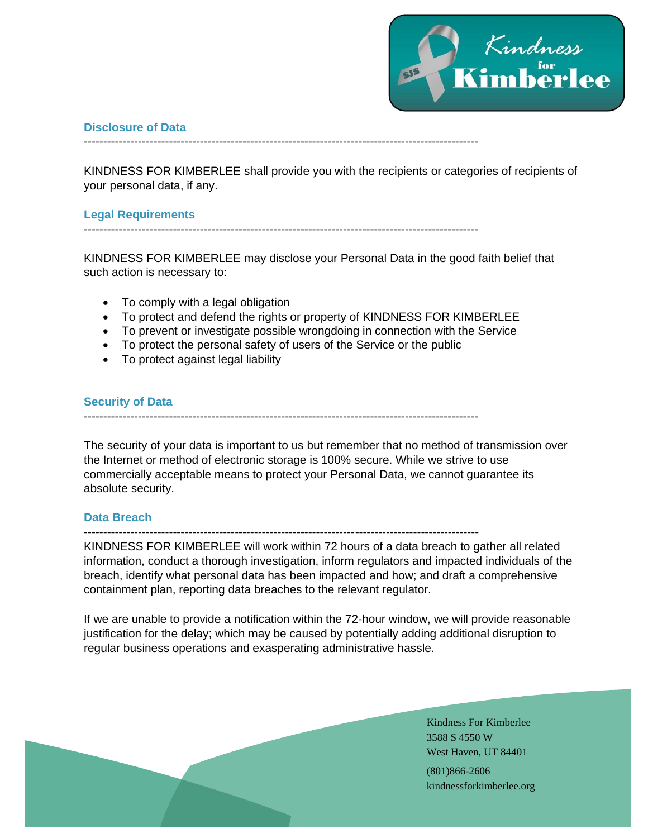

## **Disclosure of Data**

------------------------------------------------------------------------------------------------------

KINDNESS FOR KIMBERLEE shall provide you with the recipients or categories of recipients of your personal data, if any.

## **Legal Requirements**

------------------------------------------------------------------------------------------------------

KINDNESS FOR KIMBERLEE may disclose your Personal Data in the good faith belief that such action is necessary to:

- To comply with a legal obligation
- To protect and defend the rights or property of KINDNESS FOR KIMBERLEE
- To prevent or investigate possible wrongdoing in connection with the Service
- To protect the personal safety of users of the Service or the public
- To protect against legal liability

## **Security of Data**

------------------------------------------------------------------------------------------------------

The security of your data is important to us but remember that no method of transmission over the Internet or method of electronic storage is 100% secure. While we strive to use commercially acceptable means to protect your Personal Data, we cannot guarantee its absolute security.

# **Data Breach**

------------------------------------------------------------------------------------------------------

KINDNESS FOR KIMBERLEE will work within 72 hours of a data breach to gather all related information, conduct a thorough investigation, inform regulators and impacted individuals of the breach, identify what personal data has been impacted and how; and draft a comprehensive containment plan, reporting data breaches to the relevant regulator.

If we are unable to provide a notification within the 72-hour window, we will provide reasonable justification for the delay; which may be caused by potentially adding additional disruption to regular business operations and exasperating administrative hassle.